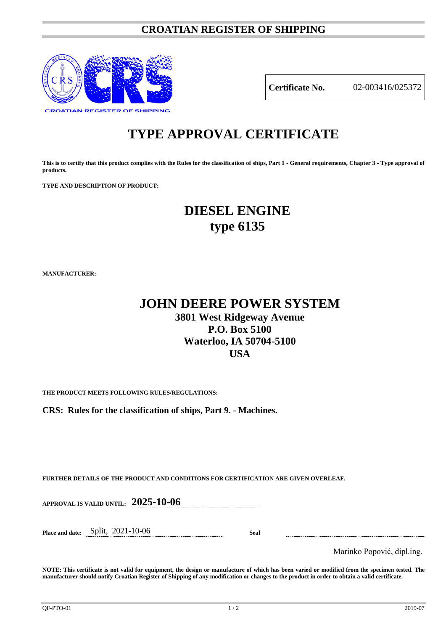# **CROATIAN REGISTER OF SHIPPING**



**Certificate No.** 02-003416/025372

# **TYPE APPROVAL CERTIFICATE**

**This is to certify that this product complies with the Rules for the classification of ships, Part 1 - General requirements, Chapter 3 - Type approval of products.**

**TYPE AND DESCRIPTION OF PRODUCT:** 

# **DIESEL ENGINE type 6135**

**MANUFACTURER:**

# **JOHN DEERE POWER SYSTEM 3801 West Ridgeway Avenue P.O. Box 5100 Waterloo, IA 50704-5100 USA**

**THE PRODUCT MEETS FOLLOWING RULES/REGULATIONS:**

**CRS: Rules for the classification of ships, Part 9. - Machines.**

**FURTHER DETAILS OF THE PRODUCT AND CONDITIONS FOR CERTIFICATION ARE GIVEN OVERLEAF.**

**APPROVAL IS VALID UNTIL: 2025-10-06**

**Place and date:** Split, 2021-10-06 **Seal**

Marinko Popović, dipl.ing.

**NOTE: This certificate is not valid for equipment, the design or manufacture of which has been varied or modified from the specimen tested. The manufacturer should notify Croatian Register of Shipping of any modification or changes to the product in order to obtain a valid certificate.**